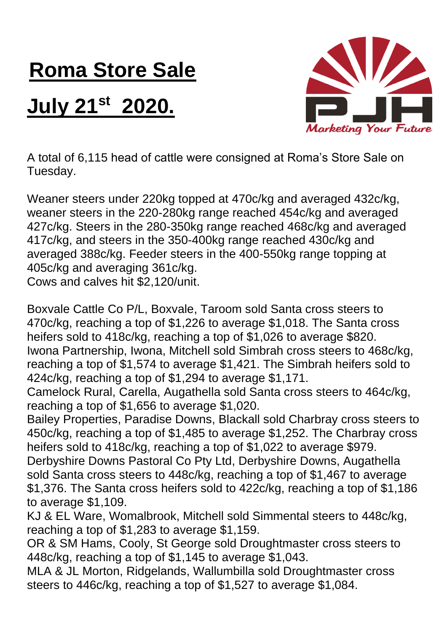## **Roma Store Sale**

## **July 21st 2020.**



A total of 6,115 head of cattle were consigned at Roma's Store Sale on Tuesday.

Weaner steers under 220kg topped at 470c/kg and averaged 432c/kg, weaner steers in the 220-280kg range reached 454c/kg and averaged 427c/kg. Steers in the 280-350kg range reached 468c/kg and averaged 417c/kg, and steers in the 350-400kg range reached 430c/kg and averaged 388c/kg. Feeder steers in the 400-550kg range topping at 405c/kg and averaging 361c/kg.

Cows and calves hit \$2,120/unit.

Boxvale Cattle Co P/L, Boxvale, Taroom sold Santa cross steers to 470c/kg, reaching a top of \$1,226 to average \$1,018. The Santa cross heifers sold to 418c/kg, reaching a top of \$1,026 to average \$820. Iwona Partnership, Iwona, Mitchell sold Simbrah cross steers to 468c/kg, reaching a top of \$1,574 to average \$1,421. The Simbrah heifers sold to 424c/kg, reaching a top of \$1,294 to average \$1,171.

Camelock Rural, Carella, Augathella sold Santa cross steers to 464c/kg, reaching a top of \$1,656 to average \$1,020.

Bailey Properties, Paradise Downs, Blackall sold Charbray cross steers to 450c/kg, reaching a top of \$1,485 to average \$1,252. The Charbray cross heifers sold to 418c/kg, reaching a top of \$1,022 to average \$979. Derbyshire Downs Pastoral Co Pty Ltd, Derbyshire Downs, Augathella sold Santa cross steers to 448c/kg, reaching a top of \$1,467 to average \$1,376. The Santa cross heifers sold to 422c/kg, reaching a top of \$1,186

to average \$1,109.

KJ & EL Ware, Womalbrook, Mitchell sold Simmental steers to 448c/kg, reaching a top of \$1,283 to average \$1,159.

OR & SM Hams, Cooly, St George sold Droughtmaster cross steers to 448c/kg, reaching a top of \$1,145 to average \$1,043.

MLA & JL Morton, Ridgelands, Wallumbilla sold Droughtmaster cross steers to 446c/kg, reaching a top of \$1,527 to average \$1,084.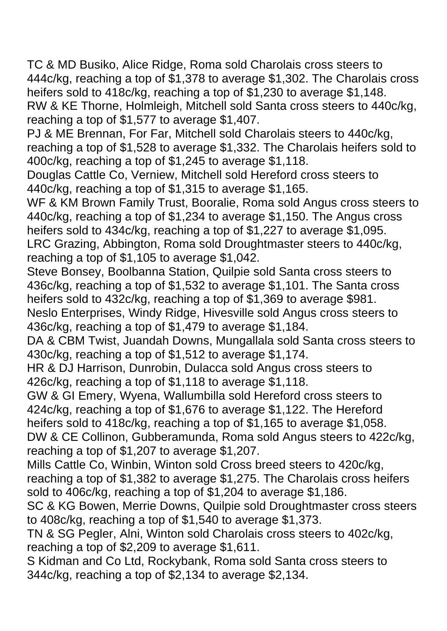TC & MD Busiko, Alice Ridge, Roma sold Charolais cross steers to 444c/kg, reaching a top of \$1,378 to average \$1,302. The Charolais cross heifers sold to 418c/kg, reaching a top of \$1,230 to average \$1,148. RW & KE Thorne, Holmleigh, Mitchell sold Santa cross steers to 440c/kg, reaching a top of \$1,577 to average \$1,407.

PJ & ME Brennan, For Far, Mitchell sold Charolais steers to 440c/kg, reaching a top of \$1,528 to average \$1,332. The Charolais heifers sold to 400c/kg, reaching a top of \$1,245 to average \$1,118.

Douglas Cattle Co, Verniew, Mitchell sold Hereford cross steers to 440c/kg, reaching a top of \$1,315 to average \$1,165.

WF & KM Brown Family Trust, Booralie, Roma sold Angus cross steers to 440c/kg, reaching a top of \$1,234 to average \$1,150. The Angus cross heifers sold to 434c/kg, reaching a top of \$1,227 to average \$1,095. LRC Grazing, Abbington, Roma sold Droughtmaster steers to 440c/kg, reaching a top of \$1,105 to average \$1,042.

Steve Bonsey, Boolbanna Station, Quilpie sold Santa cross steers to 436c/kg, reaching a top of \$1,532 to average \$1,101. The Santa cross heifers sold to 432c/kg, reaching a top of \$1,369 to average \$981. Neslo Enterprises, Windy Ridge, Hivesville sold Angus cross steers to 436c/kg, reaching a top of \$1,479 to average \$1,184.

DA & CBM Twist, Juandah Downs, Mungallala sold Santa cross steers to 430c/kg, reaching a top of \$1,512 to average \$1,174.

HR & DJ Harrison, Dunrobin, Dulacca sold Angus cross steers to 426c/kg, reaching a top of \$1,118 to average \$1,118.

GW & GI Emery, Wyena, Wallumbilla sold Hereford cross steers to 424c/kg, reaching a top of \$1,676 to average \$1,122. The Hereford heifers sold to 418c/kg, reaching a top of \$1,165 to average \$1,058. DW & CE Collinon, Gubberamunda, Roma sold Angus steers to 422c/kg, reaching a top of \$1,207 to average \$1,207.

Mills Cattle Co, Winbin, Winton sold Cross breed steers to 420c/kg, reaching a top of \$1,382 to average \$1,275. The Charolais cross heifers sold to 406c/kg, reaching a top of \$1,204 to average \$1,186.

SC & KG Bowen, Merrie Downs, Quilpie sold Droughtmaster cross steers to 408c/kg, reaching a top of \$1,540 to average \$1,373.

TN & SG Pegler, Alni, Winton sold Charolais cross steers to 402c/kg, reaching a top of \$2,209 to average \$1,611.

S Kidman and Co Ltd, Rockybank, Roma sold Santa cross steers to 344c/kg, reaching a top of \$2,134 to average \$2,134.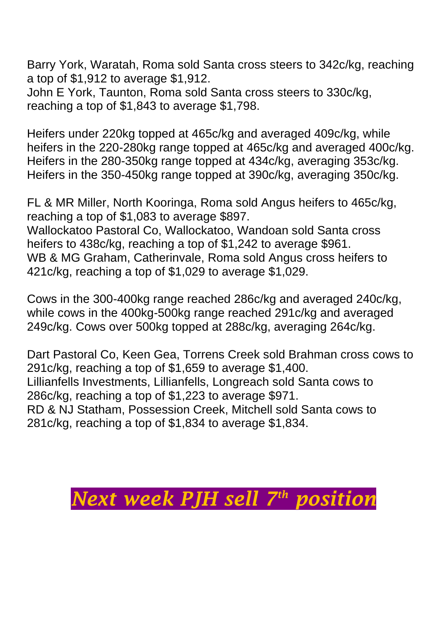Barry York, Waratah, Roma sold Santa cross steers to 342c/kg, reaching a top of \$1,912 to average \$1,912.

John E York, Taunton, Roma sold Santa cross steers to 330c/kg, reaching a top of \$1,843 to average \$1,798.

Heifers under 220kg topped at 465c/kg and averaged 409c/kg, while heifers in the 220-280kg range topped at 465c/kg and averaged 400c/kg. Heifers in the 280-350kg range topped at 434c/kg, averaging 353c/kg. Heifers in the 350-450kg range topped at 390c/kg, averaging 350c/kg.

FL & MR Miller, North Kooringa, Roma sold Angus heifers to 465c/kg, reaching a top of \$1,083 to average \$897. Wallockatoo Pastoral Co, Wallockatoo, Wandoan sold Santa cross heifers to 438c/kg, reaching a top of \$1,242 to average \$961. WB & MG Graham, Catherinvale, Roma sold Angus cross heifers to 421c/kg, reaching a top of \$1,029 to average \$1,029.

Cows in the 300-400kg range reached 286c/kg and averaged 240c/kg, while cows in the 400kg-500kg range reached 291c/kg and averaged 249c/kg. Cows over 500kg topped at 288c/kg, averaging 264c/kg.

Dart Pastoral Co, Keen Gea, Torrens Creek sold Brahman cross cows to 291c/kg, reaching a top of \$1,659 to average \$1,400. Lillianfells Investments, Lillianfells, Longreach sold Santa cows to 286c/kg, reaching a top of \$1,223 to average \$971. RD & NJ Statham, Possession Creek, Mitchell sold Santa cows to 281c/kg, reaching a top of \$1,834 to average \$1,834.